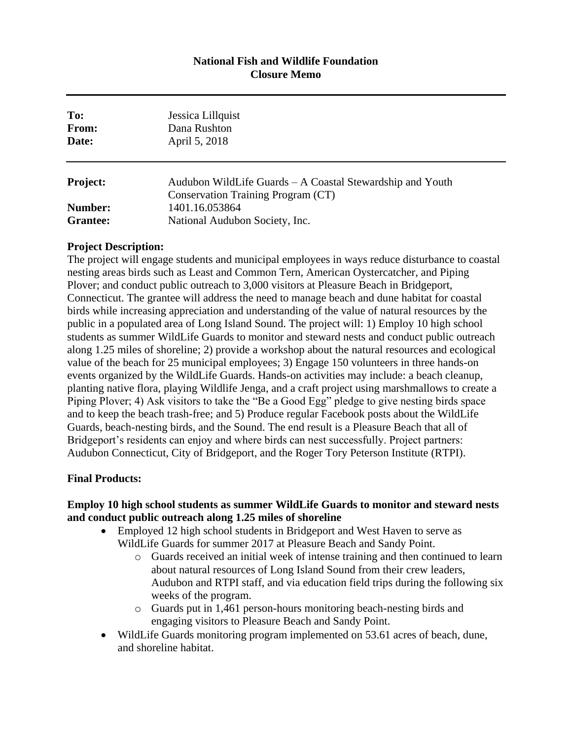#### **National Fish and Wildlife Foundation Closure Memo**

| Jessica Lillquist<br>Dana Rushton<br>April 5, 2018                                              |
|-------------------------------------------------------------------------------------------------|
| Audubon WildLife Guards – A Coastal Stewardship and Youth<br>Conservation Training Program (CT) |
| 1401.16.053864<br>National Audubon Society, Inc.                                                |
|                                                                                                 |

#### **Project Description:**

The project will engage students and municipal employees in ways reduce disturbance to coastal nesting areas birds such as Least and Common Tern, American Oystercatcher, and Piping Plover; and conduct public outreach to 3,000 visitors at Pleasure Beach in Bridgeport, Connecticut. The grantee will address the need to manage beach and dune habitat for coastal birds while increasing appreciation and understanding of the value of natural resources by the public in a populated area of Long Island Sound. The project will: 1) Employ 10 high school students as summer WildLife Guards to monitor and steward nests and conduct public outreach along 1.25 miles of shoreline; 2) provide a workshop about the natural resources and ecological value of the beach for 25 municipal employees; 3) Engage 150 volunteers in three hands-on events organized by the WildLife Guards. Hands-on activities may include: a beach cleanup, planting native flora, playing Wildlife Jenga, and a craft project using marshmallows to create a Piping Plover; 4) Ask visitors to take the "Be a Good Egg" pledge to give nesting birds space and to keep the beach trash-free; and 5) Produce regular Facebook posts about the WildLife Guards, beach-nesting birds, and the Sound. The end result is a Pleasure Beach that all of Bridgeport's residents can enjoy and where birds can nest successfully. Project partners: Audubon Connecticut, City of Bridgeport, and the Roger Tory Peterson Institute (RTPI).

## **Final Products:**

## **Employ 10 high school students as summer WildLife Guards to monitor and steward nests and conduct public outreach along 1.25 miles of shoreline**

- Employed 12 high school students in Bridgeport and West Haven to serve as WildLife Guards for summer 2017 at Pleasure Beach and Sandy Point.
	- o Guards received an initial week of intense training and then continued to learn about natural resources of Long Island Sound from their crew leaders, Audubon and RTPI staff, and via education field trips during the following six weeks of the program.
	- o Guards put in 1,461 person-hours monitoring beach-nesting birds and engaging visitors to Pleasure Beach and Sandy Point.
- WildLife Guards monitoring program implemented on 53.61 acres of beach, dune, and shoreline habitat.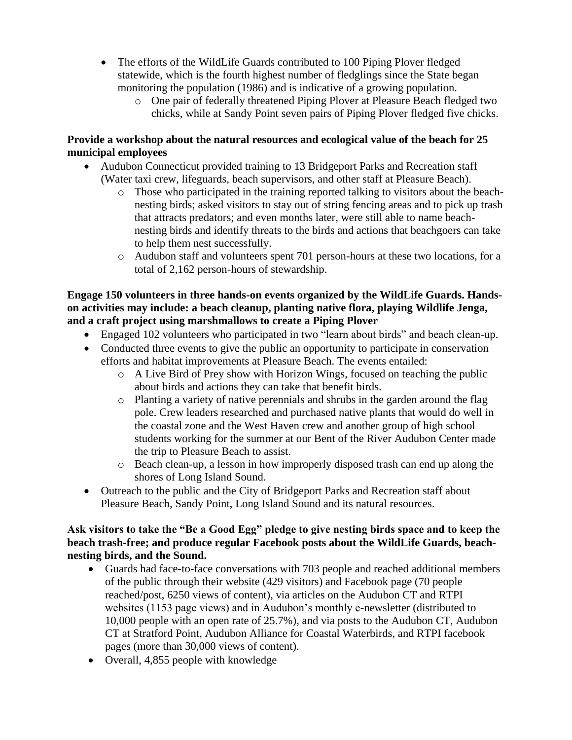- The efforts of the WildLife Guards contributed to 100 Piping Plover fledged statewide, which is the fourth highest number of fledglings since the State began monitoring the population (1986) and is indicative of a growing population.
	- o One pair of federally threatened Piping Plover at Pleasure Beach fledged two chicks, while at Sandy Point seven pairs of Piping Plover fledged five chicks.

# **Provide a workshop about the natural resources and ecological value of the beach for 25 municipal employees**

- Audubon Connecticut provided training to 13 Bridgeport Parks and Recreation staff (Water taxi crew, lifeguards, beach supervisors, and other staff at Pleasure Beach).
	- o Those who participated in the training reported talking to visitors about the beachnesting birds; asked visitors to stay out of string fencing areas and to pick up trash that attracts predators; and even months later, were still able to name beachnesting birds and identify threats to the birds and actions that beachgoers can take to help them nest successfully.
	- o Audubon staff and volunteers spent 701 person-hours at these two locations, for a total of 2,162 person-hours of stewardship.

## **Engage 150 volunteers in three hands-on events organized by the WildLife Guards. Handson activities may include: a beach cleanup, planting native flora, playing Wildlife Jenga, and a craft project using marshmallows to create a Piping Plover**

- Engaged 102 volunteers who participated in two "learn about birds" and beach clean-up.
- Conducted three events to give the public an opportunity to participate in conservation efforts and habitat improvements at Pleasure Beach. The events entailed:
	- o A Live Bird of Prey show with Horizon Wings, focused on teaching the public about birds and actions they can take that benefit birds.
	- o Planting a variety of native perennials and shrubs in the garden around the flag pole. Crew leaders researched and purchased native plants that would do well in the coastal zone and the West Haven crew and another group of high school students working for the summer at our Bent of the River Audubon Center made the trip to Pleasure Beach to assist.
	- o Beach clean-up, a lesson in how improperly disposed trash can end up along the shores of Long Island Sound.
- Outreach to the public and the City of Bridgeport Parks and Recreation staff about Pleasure Beach, Sandy Point, Long Island Sound and its natural resources.

## **Ask visitors to take the "Be a Good Egg" pledge to give nesting birds space and to keep the beach trash-free; and produce regular Facebook posts about the WildLife Guards, beachnesting birds, and the Sound.**

- Guards had face-to-face conversations with 703 people and reached additional members of the public through their website (429 visitors) and Facebook page (70 people reached/post, 6250 views of content), via articles on the Audubon CT and RTPI websites (1153 page views) and in Audubon's monthly e-newsletter (distributed to 10,000 people with an open rate of 25.7%), and via posts to the Audubon CT, Audubon CT at Stratford Point, Audubon Alliance for Coastal Waterbirds, and RTPI facebook pages (more than 30,000 views of content).
- Overall, 4,855 people with knowledge